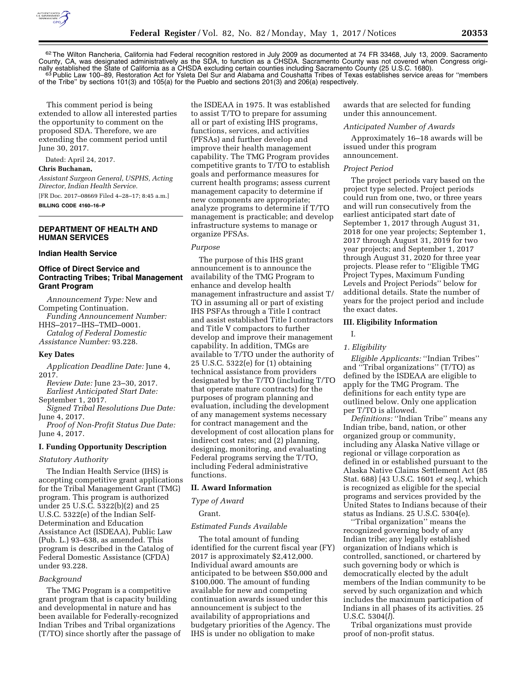

62The Wilton Rancheria, California had Federal recognition restored in July 2009 as documented at 74 FR 33468, July 13, 2009. Sacramento County, CA, was designated administratively as the SDA, to function as a CHSDA. Sacramento County was not covered when Congress originally established the State of California as a CHSDA excluding certain counties including Sacramento County (25 U.S.C. 1680).<br><sup>63</sup> Public Law 100–89, Restoration Act for Ysleta Del Sur and Alabama and Coushatta Tribes of T of the Tribe'' by sections 101(3) and 105(a) for the Pueblo and sections 201(3) and 206(a) respectively.

This comment period is being extended to allow all interested parties the opportunity to comment on the proposed SDA. Therefore, we are extending the comment period until June 30, 2017.

Dated: April 24, 2017. **Chris Buchanan,** 

*Assistant Surgeon General, USPHS, Acting Director, Indian Health Service.* 

[FR Doc. 2017–08669 Filed 4–28–17; 8:45 a.m.] **BILLING CODE 4160–16–P** 

## **DEPARTMENT OF HEALTH AND HUMAN SERVICES**

#### **Indian Health Service**

# **Office of Direct Service and Contracting Tribes; Tribal Management Grant Program**

*Announcement Type:* New and Competing Continuation. *Funding Announcement Number:*  HHS–2017–IHS–TMD–0001. *Catalog of Federal Domestic Assistance Number:* 93.228.

# **Key Dates**

*Application Deadline Date:* June 4, 2017.

*Review Date:* June 23–30, 2017. *Earliest Anticipated Start Date:* 

September 1, 2017. *Signed Tribal Resolutions Due Date:*  June 4, 2017.

*Proof of Non-Profit Status Due Date:* 

June 4, 2017.

#### **I. Funding Opportunity Description**

#### *Statutory Authority*

The Indian Health Service (IHS) is accepting competitive grant applications for the Tribal Management Grant (TMG) program. This program is authorized under 25 U.S.C. 5322(b)(2) and 25 U.S.C. 5322(e) of the Indian Self-Determination and Education Assistance Act (ISDEAA), Public Law (Pub. L.) 93–638, as amended. This program is described in the Catalog of Federal Domestic Assistance (CFDA) under 93.228.

#### *Background*

The TMG Program is a competitive grant program that is capacity building and developmental in nature and has been available for Federally-recognized Indian Tribes and Tribal organizations (T/TO) since shortly after the passage of the ISDEAA in 1975. It was established to assist T/TO to prepare for assuming all or part of existing IHS programs, functions, services, and activities (PFSAs) and further develop and improve their health management capability. The TMG Program provides competitive grants to T/TO to establish goals and performance measures for current health programs; assess current management capacity to determine if new components are appropriate; analyze programs to determine if T/TO management is practicable; and develop infrastructure systems to manage or organize PFSAs.

#### *Purpose*

The purpose of this IHS grant announcement is to announce the availability of the TMG Program to enhance and develop health management infrastructure and assist T/ TO in assuming all or part of existing IHS PSFAs through a Title I contract and assist established Title I contractors and Title V compactors to further develop and improve their management capability. In addition, TMGs are available to T/TO under the authority of 25 U.S.C. 5322(e) for (1) obtaining technical assistance from providers designated by the T/TO (including T/TO that operate mature contracts) for the purposes of program planning and evaluation, including the development of any management systems necessary for contract management and the development of cost allocation plans for indirect cost rates; and (2) planning, designing, monitoring, and evaluating Federal programs serving the T/TO, including Federal administrative functions.

## **II. Award Information**

*Type of Award* 

Grant.

#### *Estimated Funds Available*

The total amount of funding identified for the current fiscal year (FY) 2017 is approximately \$2,412,000. Individual award amounts are anticipated to be between \$50,000 and \$100,000. The amount of funding available for new and competing continuation awards issued under this announcement is subject to the availability of appropriations and budgetary priorities of the Agency. The IHS is under no obligation to make

awards that are selected for funding under this announcement.

#### *Anticipated Number of Awards*

Approximately 16–18 awards will be issued under this program announcement.

#### *Project Period*

The project periods vary based on the project type selected. Project periods could run from one, two, or three years and will run consecutively from the earliest anticipated start date of September 1, 2017 through August 31, 2018 for one year projects; September 1, 2017 through August 31, 2019 for two year projects; and September 1, 2017 through August 31, 2020 for three year projects. Please refer to ''Eligible TMG Project Types, Maximum Funding Levels and Project Periods'' below for additional details. State the number of years for the project period and include the exact dates.

#### **III. Eligibility Information**

#### I.

#### *1. Eligibility*

*Eligible Applicants:* ''Indian Tribes'' and ''Tribal organizations'' (T/TO) as defined by the ISDEAA are eligible to apply for the TMG Program. The definitions for each entity type are outlined below. Only one application per T/TO is allowed.

*Definitions:* "Indian Tribe" means any Indian tribe, band, nation, or other organized group or community, including any Alaska Native village or regional or village corporation as defined in or established pursuant to the Alaska Native Claims Settlement Act (85 Stat. 688) [43 U.S.C. 1601 *et seq.*], which is recognized as eligible for the special programs and services provided by the United States to Indians because of their status as Indians. 25 U.S.C. 5304(e).

''Tribal organization'' means the recognized governing body of any Indian tribe; any legally established organization of Indians which is controlled, sanctioned, or chartered by such governing body or which is democratically elected by the adult members of the Indian community to be served by such organization and which includes the maximum participation of Indians in all phases of its activities. 25 U.S.C. 5304(*l*).

Tribal organizations must provide proof of non-profit status.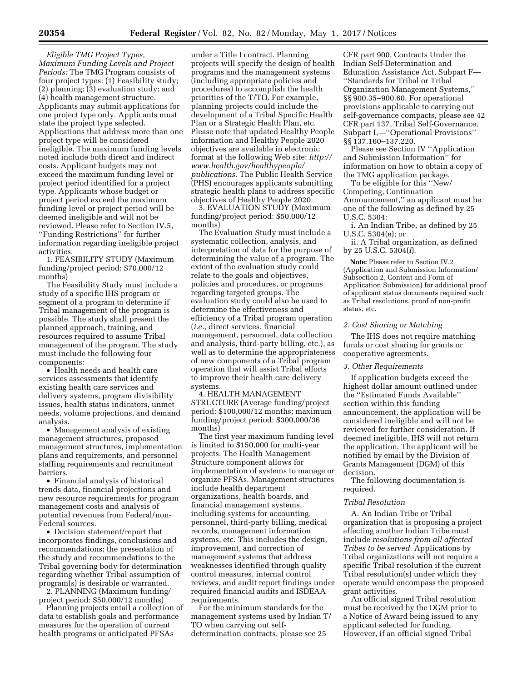*Eligible TMG Project Types, Maximum Funding Levels and Project Periods:* The TMG Program consists of four project types: (1) Feasibility study; (2) planning; (3) evaluation study; and (4) health management structure. Applicants may submit applications for one project type only. Applicants must state the project type selected. Applications that address more than one project type will be considered ineligible. The maximum funding levels noted include both direct and indirect costs. Applicant budgets may not exceed the maximum funding level or project period identified for a project type. Applicants whose budget or project period exceed the maximum funding level or project period will be deemed ineligible and will not be reviewed. Please refer to Section IV.5, ''Funding Restrictions'' for further information regarding ineligible project activities.

1. FEASIBILITY STUDY (Maximum funding/project period: \$70,000/12 months)

The Feasibility Study must include a study of a specific IHS program or segment of a program to determine if Tribal management of the program is possible. The study shall present the planned approach, training, and resources required to assume Tribal management of the program. The study must include the following four components:

• Health needs and health care services assessments that identify existing health care services and delivery systems, program divisibility issues, health status indicators, unmet needs, volume projections, and demand analysis.

• Management analysis of existing management structures, proposed management structures, implementation plans and requirements, and personnel staffing requirements and recruitment barriers.

• Financial analysis of historical trends data, financial projections and new resource requirements for program management costs and analysis of potential revenues from Federal/non-Federal sources.

• Decision statement/report that incorporates findings, conclusions and recommendations; the presentation of the study and recommendations to the Tribal governing body for determination regarding whether Tribal assumption of program(s) is desirable or warranted.

2. PLANNING (Maximum funding/ project period: \$50,000/12 months)

Planning projects entail a collection of data to establish goals and performance measures for the operation of current health programs or anticipated PFSAs

under a Title I contract. Planning projects will specify the design of health programs and the management systems (including appropriate policies and procedures) to accomplish the health priorities of the T/TO. For example, planning projects could include the development of a Tribal Specific Health Plan or a Strategic Health Plan, etc. Please note that updated Healthy People information and Healthy People 2020 objectives are available in electronic format at the following Web site: *[http://](http://www.health.gov/healthypeople/publications)  [www.health.gov/healthypeople/](http://www.health.gov/healthypeople/publications)  [publications.](http://www.health.gov/healthypeople/publications)* The Public Health Service (PHS) encourages applicants submitting strategic health plans to address specific objectives of Healthy People 2020.

3. EVALUATION STUDY (Maximum funding/project period: \$50,000/12 months)

The Evaluation Study must include a systematic collection, analysis, and interpretation of data for the purpose of determining the value of a program. The extent of the evaluation study could relate to the goals and objectives, policies and procedures, or programs regarding targeted groups. The evaluation study could also be used to determine the effectiveness and efficiency of a Tribal program operation (*i.e.,* direct services, financial management, personnel, data collection and analysis, third-party billing, etc.), as well as to determine the appropriateness of new components of a Tribal program operation that will assist Tribal efforts to improve their health care delivery systems.

4. HEALTH MANAGEMENT STRUCTURE (Average funding/project period: \$100,000/12 months; maximum funding/project period: \$300,000/36 months)

The first year maximum funding level is limited to \$150,000 for multi-year projects. The Health Management Structure component allows for implementation of systems to manage or organize PFSAs. Management structures include health department organizations, health boards, and financial management systems, including systems for accounting, personnel, third-party billing, medical records, management information systems, etc. This includes the design, improvement, and correction of management systems that address weaknesses identified through quality control measures, internal control reviews, and audit report findings under required financial audits and ISDEAA requirements.

For the minimum standards for the management systems used by Indian T/ TO when carrying out selfdetermination contracts, please see 25

CFR part 900, Contracts Under the Indian Self-Determination and Education Assistance Act, Subpart F— ''Standards for Tribal or Tribal Organization Management Systems,'' §§ 900.35–900.60. For operational provisions applicable to carrying out self-governance compacts, please see 42 CFR part 137, Tribal Self-Governance, Subpart I,—''Operational Provisions'' §§ 137.160–137.220.

Please see Section IV ''Application and Submission Information'' for information on how to obtain a copy of the TMG application package.

To be eligible for this ''New/ Competing, Continuation Announcement,'' an applicant must be one of the following as defined by 25 U.S.C. 5304:

i. An Indian Tribe, as defined by 25 U.S.C. 5304(e); or

ii. A Tribal organization, as defined by 25 U.S.C. 5304(*l*).

**Note:** Please refer to Section IV.2 (Application and Submission Information/ Subsection 2, Content and Form of Application Submission) for additional proof of applicant status documents required such as Tribal resolutions, proof of non-profit status, etc.

### *2. Cost Sharing or Matching*

The IHS does not require matching funds or cost sharing for grants or cooperative agreements.

### *3. Other Requirements*

If application budgets exceed the highest dollar amount outlined under the ''Estimated Funds Available'' section within this funding announcement, the application will be considered ineligible and will not be reviewed for further consideration. If deemed ineligible, IHS will not return the application. The applicant will be notified by email by the Division of Grants Management (DGM) of this decision.

The following documentation is required.

#### *Tribal Resolution*

A. An Indian Tribe or Tribal organization that is proposing a project affecting another Indian Tribe must include *resolutions from all affected Tribes to be served.* Applications by Tribal organizations will not require a specific Tribal resolution if the current Tribal resolution(s) under which they operate would encompass the proposed grant activities.

An official signed Tribal resolution must be received by the DGM prior to a Notice of Award being issued to any applicant selected for funding. However, if an official signed Tribal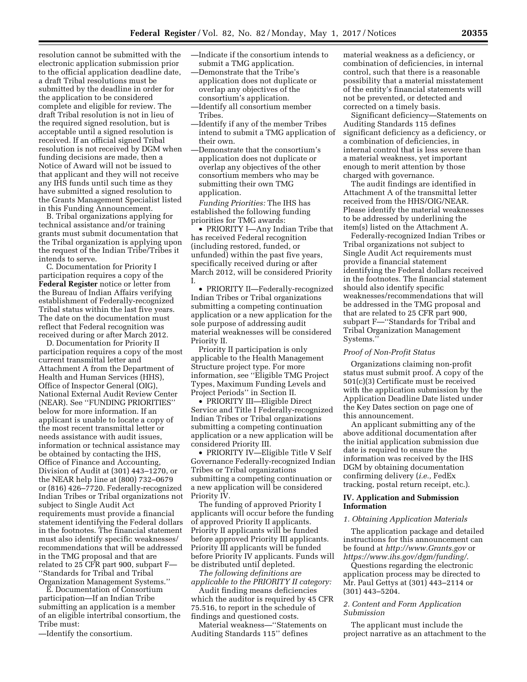resolution cannot be submitted with the electronic application submission prior to the official application deadline date, a draft Tribal resolutions must be submitted by the deadline in order for the application to be considered complete and eligible for review. The draft Tribal resolution is not in lieu of the required signed resolution, but is acceptable until a signed resolution is received. If an official signed Tribal resolution is not received by DGM when funding decisions are made, then a Notice of Award will not be issued to that applicant and they will not receive any IHS funds until such time as they have submitted a signed resolution to the Grants Management Specialist listed in this Funding Announcement.

B. Tribal organizations applying for technical assistance and/or training grants must submit documentation that the Tribal organization is applying upon the request of the Indian Tribe/Tribes it intends to serve.

C. Documentation for Priority I participation requires a copy of the **Federal Register** notice or letter from the Bureau of Indian Affairs verifying establishment of Federally-recognized Tribal status within the last five years. The date on the documentation must reflect that Federal recognition was received during or after March 2012.

D. Documentation for Priority II participation requires a copy of the most current transmittal letter and Attachment A from the Department of Health and Human Services (HHS), Office of Inspector General (OIG), National External Audit Review Center (NEAR). See ''FUNDING PRIORITIES'' below for more information. If an applicant is unable to locate a copy of the most recent transmittal letter or needs assistance with audit issues, information or technical assistance may be obtained by contacting the IHS, Office of Finance and Accounting, Division of Audit at (301) 443–1270, or the NEAR help line at (800) 732–0679 or (816) 426–7720. Federally-recognized Indian Tribes or Tribal organizations not subject to Single Audit Act requirements must provide a financial statement identifying the Federal dollars in the footnotes. The financial statement must also identify specific weaknesses/ recommendations that will be addressed in the TMG proposal and that are related to 25 CFR part 900, subpart F— ''Standards for Tribal and Tribal Organization Management Systems.''

E. Documentation of Consortium participation—If an Indian Tribe submitting an application is a member of an eligible intertribal consortium, the Tribe must:

—Identify the consortium.

- —Indicate if the consortium intends to submit a TMG application.
- —Demonstrate that the Tribe's application does not duplicate or overlap any objectives of the consortium's application.
- —Identify all consortium member Tribes.
- —Identify if any of the member Tribes intend to submit a TMG application of their own.
- —Demonstrate that the consortium's application does not duplicate or overlap any objectives of the other consortium members who may be submitting their own TMG application.

*Funding Priorities:* The IHS has established the following funding priorities for TMG awards:

• PRIORITY I—Any Indian Tribe that has received Federal recognition (including restored, funded, or unfunded) within the past five years, specifically received during or after March 2012, will be considered Priority I.

• PRIORITY II—Federally-recognized Indian Tribes or Tribal organizations submitting a competing continuation application or a new application for the sole purpose of addressing audit material weaknesses will be considered Priority II.

Priority II participation is only applicable to the Health Management Structure project type. For more information, see ''Eligible TMG Project Types, Maximum Funding Levels and Project Periods'' in Section II.

• PRIORITY III—Eligible Direct Service and Title I Federally-recognized Indian Tribes or Tribal organizations submitting a competing continuation application or a new application will be considered Priority III.

• PRIORITY IV—Eligible Title V Self Governance Federally-recognized Indian Tribes or Tribal organizations submitting a competing continuation or a new application will be considered Priority IV.

The funding of approved Priority I applicants will occur before the funding of approved Priority II applicants. Priority II applicants will be funded before approved Priority III applicants. Priority III applicants will be funded before Priority IV applicants. Funds will be distributed until depleted.

*The following definitions are applicable to the PRIORITY II category:* 

Audit finding means deficiencies which the auditor is required by 45 CFR 75.516, to report in the schedule of findings and questioned costs.

Material weakness—''Statements on Auditing Standards 115'' defines

material weakness as a deficiency, or combination of deficiencies, in internal control, such that there is a reasonable possibility that a material misstatement of the entity's financial statements will not be prevented, or detected and corrected on a timely basis.

Significant deficiency—Statements on Auditing Standards 115 defines significant deficiency as a deficiency, or a combination of deficiencies, in internal control that is less severe than a material weakness, yet important enough to merit attention by those charged with governance.

The audit findings are identified in Attachment A of the transmittal letter received from the HHS/OIG/NEAR. Please identify the material weaknesses to be addressed by underlining the item(s) listed on the Attachment A.

Federally-recognized Indian Tribes or Tribal organizations not subject to Single Audit Act requirements must provide a financial statement identifying the Federal dollars received in the footnotes. The financial statement should also identify specific weaknesses/recommendations that will be addressed in the TMG proposal and that are related to 25 CFR part 900, subpart F—''Standards for Tribal and Tribal Organization Management Systems.''

## *Proof of Non-Profit Status*

Organizations claiming non-profit status must submit proof. A copy of the 501(c)(3) Certificate must be received with the application submission by the Application Deadline Date listed under the Key Dates section on page one of this announcement.

An applicant submitting any of the above additional documentation after the initial application submission due date is required to ensure the information was received by the IHS DGM by obtaining documentation confirming delivery (*i.e.,* FedEx tracking, postal return receipt, etc.).

## **IV. Application and Submission Information**

### *1. Obtaining Application Materials*

The application package and detailed instructions for this announcement can be found at *<http://www.Grants.gov>*or *<https://www.ihs.gov/dgm/funding/>*.

Questions regarding the electronic application process may be directed to Mr. Paul Gettys at (301) 443–2114 or (301) 443–5204.

# *2. Content and Form Application Submission*

The applicant must include the project narrative as an attachment to the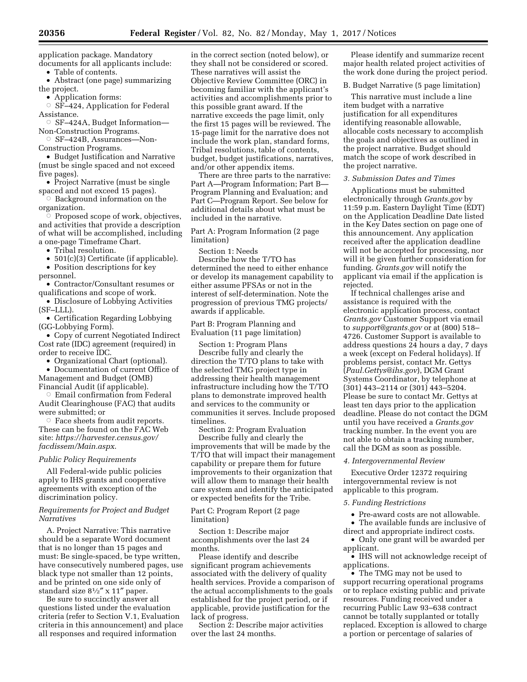application package. Mandatory documents for all applicants include:

• Table of contents.

• Abstract (one page) summarizing the project.

• Application forms:

 $\circ$  SF–424, Application for Federal Assistance.

Æ SF–424A, Budget Information— Non-Construction Programs.

Æ SF–424B, Assurances—Non-Construction Programs.

• Budget Justification and Narrative (must be single spaced and not exceed five pages).

• Project Narrative (must be single spaced and not exceed 15 pages).

 $\circ$  Background information on the organization. Æ

 Proposed scope of work, objectives, and activities that provide a description of what will be accomplished, including a one-page Timeframe Chart.

• Tribal resolution.

• 501(c)(3) Certificate (if applicable). • Position descriptions for key

personnel.

• Contractor/Consultant resumes or qualifications and scope of work.

• Disclosure of Lobbying Activities (SF–LLL).

• Certification Regarding Lobbying (GG-Lobbying Form).

• Copy of current Negotiated Indirect Cost rate (IDC) agreement (required) in order to receive IDC.

• Organizational Chart (optional).

• Documentation of current Office of Management and Budget (OMB) Financial Audit (if applicable).

 $\circ$  Email confirmation from Federal Audit Clearinghouse (FAC) that audits were submitted; or

 $\circ$  Face sheets from audit reports. These can be found on the FAC Web site: *[https://harvester.census.gov/](https://harvester.census.gov/facdissem/Main.aspx)  [facdissem/Main.aspx](https://harvester.census.gov/facdissem/Main.aspx)*.

# *Public Policy Requirements*

All Federal-wide public policies apply to IHS grants and cooperative agreements with exception of the discrimination policy.

# *Requirements for Project and Budget Narratives*

A. Project Narrative: This narrative should be a separate Word document that is no longer than 15 pages and must: Be single-spaced, be type written, have consecutively numbered pages, use black type not smaller than 12 points, and be printed on one side only of standard size 81⁄2″ x 11″ paper.

Be sure to succinctly answer all questions listed under the evaluation criteria (refer to Section V.1, Evaluation criteria in this announcement) and place all responses and required information

in the correct section (noted below), or they shall not be considered or scored. These narratives will assist the Objective Review Committee (ORC) in becoming familiar with the applicant's activities and accomplishments prior to this possible grant award. If the narrative exceeds the page limit, only the first 15 pages will be reviewed. The 15-page limit for the narrative does not include the work plan, standard forms, Tribal resolutions, table of contents, budget, budget justifications, narratives, and/or other appendix items.

There are three parts to the narrative: Part A—Program Information; Part B— Program Planning and Evaluation; and Part C—Program Report. See below for additional details about what must be included in the narrative.

Part A: Program Information (2 page limitation)

Section 1: Needs

Describe how the T/TO has determined the need to either enhance or develop its management capability to either assume PFSAs or not in the interest of self-determination. Note the progression of previous TMG projects/ awards if applicable.

Part B: Program Planning and Evaluation (11 page limitation)

Section 1: Program Plans Describe fully and clearly the direction the T/TO plans to take with the selected TMG project type in addressing their health management infrastructure including how the T/TO plans to demonstrate improved health and services to the community or communities it serves. Include proposed timelines.

Section 2: Program Evaluation Describe fully and clearly the improvements that will be made by the T/TO that will impact their management capability or prepare them for future improvements to their organization that will allow them to manage their health care system and identify the anticipated or expected benefits for the Tribe.

Part C: Program Report (2 page limitation)

Section 1: Describe major accomplishments over the last 24 months.

Please identify and describe significant program achievements associated with the delivery of quality health services. Provide a comparison of the actual accomplishments to the goals established for the project period, or if applicable, provide justification for the lack of progress.

Section 2: Describe major activities over the last 24 months.

Please identify and summarize recent major health related project activities of the work done during the project period.

B. Budget Narrative (5 page limitation)

This narrative must include a line item budget with a narrative justification for all expenditures identifying reasonable allowable, allocable costs necessary to accomplish the goals and objectives as outlined in the project narrative. Budget should match the scope of work described in the project narrative.

# *3. Submission Dates and Times*

Applications must be submitted electronically through *Grants.gov* by 11:59 p.m. Eastern Daylight Time (EDT) on the Application Deadline Date listed in the Key Dates section on page one of this announcement. Any application received after the application deadline will not be accepted for processing, nor will it be given further consideration for funding. *Grants.gov* will notify the applicant via email if the application is rejected.

If technical challenges arise and assistance is required with the electronic application process, contact *Grants.gov* Customer Support via email to *[support@grants.gov](mailto:support@grants.gov)* or at (800) 518– 4726. Customer Support is available to address questions 24 hours a day, 7 days a week (except on Federal holidays). If problems persist, contact Mr. Gettys (*[Paul.Gettys@ihs.gov](mailto:Paul.Gettys@ihs.gov)*), DGM Grant Systems Coordinator, by telephone at (301) 443–2114 or (301) 443–5204. Please be sure to contact Mr. Gettys at least ten days prior to the application deadline. Please do not contact the DGM until you have received a *Grants.gov*  tracking number. In the event you are not able to obtain a tracking number, call the DGM as soon as possible.

# *4. Intergovernmental Review*

Executive Order 12372 requiring intergovernmental review is not applicable to this program.

### *5. Funding Restrictions*

• Pre-award costs are not allowable.

• The available funds are inclusive of direct and appropriate indirect costs.

• Only one grant will be awarded per applicant.

• IHS will not acknowledge receipt of applications.

• The TMG may not be used to support recurring operational programs or to replace existing public and private resources. Funding received under a recurring Public Law 93–638 contract cannot be totally supplanted or totally replaced. Exception is allowed to charge a portion or percentage of salaries of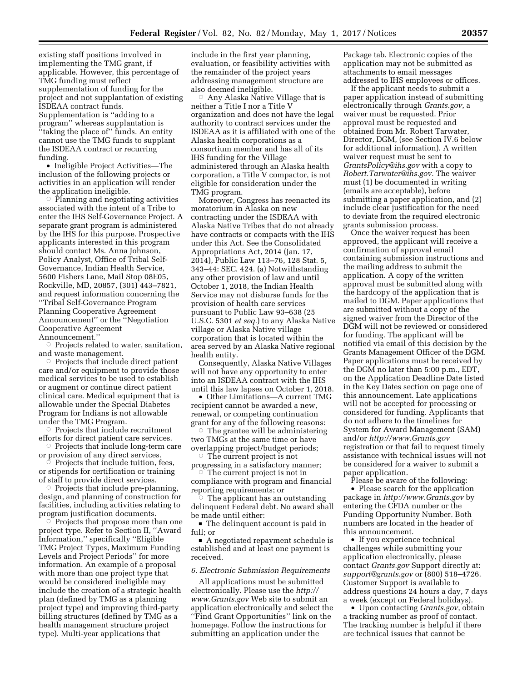existing staff positions involved in implementing the TMG grant, if applicable. However, this percentage of TMG funding must reflect supplementation of funding for the project and not supplantation of existing ISDEAA contract funds. Supplementation is ''adding to a program'' whereas supplantation is ''taking the place of'' funds. An entity cannot use the TMG funds to supplant the ISDEAA contract or recurring funding.

• Ineligible Project Activities—The inclusion of the following projects or activities in an application will render the application ineligible.

 $\circ$  Planning and negotiating activities associated with the intent of a Tribe to enter the IHS Self-Governance Project. A separate grant program is administered by the IHS for this purpose. Prospective applicants interested in this program should contact Ms. Anna Johnson, Policy Analyst, Office of Tribal Self-Governance, Indian Health Service, 5600 Fishers Lane, Mail Stop 08E05, Rockville, MD, 20857, (301) 443–7821, and request information concerning the ''Tribal Self-Governance Program Planning Cooperative Agreement Announcement'' or the ''Negotiation Cooperative Agreement Announcement.''

Æ Projects related to water, sanitation, and waste management.

 $\circ$  Projects that include direct patient care and/or equipment to provide those medical services to be used to establish or augment or continue direct patient clinical care. Medical equipment that is allowable under the Special Diabetes Program for Indians is not allowable under the TMG Program.

 $\circ$  Projects that include recruitment efforts for direct patient care services.

 $\circ$  Projects that include long-term care or provision of any direct services.

 $\circ$  Projects that include tuition, fees, or stipends for certification or training of staff to provide direct services.

 $\circ$  Projects that include pre-planning, design, and planning of construction for facilities, including activities relating to program justification documents. Æ

 Projects that propose more than one project type. Refer to Section II, ''Award Information,'' specifically ''Eligible TMG Project Types, Maximum Funding Levels and Project Periods'' for more information. An example of a proposal with more than one project type that would be considered ineligible may include the creation of a strategic health plan (defined by TMG as a planning project type) and improving third-party billing structures (defined by TMG as a health management structure project type). Multi-year applications that

include in the first year planning, evaluation, or feasibility activities with the remainder of the project years addressing management structure are also deemed ineligible.

 $\circ$  Any Alaska Native Village that is neither a Title I nor a Title V organization and does not have the legal authority to contract services under the ISDEAA as it is affiliated with one of the Alaska health corporations as a consortium member and has all of its IHS funding for the Village administered through an Alaska health corporation, a Title V compactor, is not eligible for consideration under the TMG program.

Moreover, Congress has reenacted its moratorium in Alaska on new contracting under the ISDEAA with Alaska Native Tribes that do not already have contracts or compacts with the IHS under this Act. See the Consolidated Appropriations Act, 2014 (Jan. 17, 2014), Public Law 113–76, 128 Stat. 5, 343–44: SEC. 424. (a) Notwithstanding any other provision of law and until October 1, 2018, the Indian Health Service may not disburse funds for the provision of health care services pursuant to Public Law 93–638 (25 U.S.C. 5301 *et seq.*) to any Alaska Native village or Alaska Native village corporation that is located within the area served by an Alaska Native regional health entity.

Consequently, Alaska Native Villages will not have any opportunity to enter into an ISDEAA contract with the IHS until this law lapses on October 1, 2018.

• Other Limitations—A current TMG recipient cannot be awarded a new, renewal, or competing continuation grant for any of the following reasons:

 $\circ$  The grantee will be administering two TMGs at the same time or have overlapping project/budget periods;  $\circ$  The current project is not

progressing in a satisfactory manner;<br>  $\circ$  The current project is not in The current project is not in

compliance with program and financial reporting requirements; or

The applicant has an outstanding delinquent Federal debt. No award shall be made until either:

■ The delinquent account is paid in full; or

A negotiated repayment schedule is established and at least one payment is received.

#### *6. Electronic Submission Requirements*

All applications must be submitted electronically. Please use the *[http://](http://www.Grants.gov) [www.Grants.gov](http://www.Grants.gov)* Web site to submit an application electronically and select the ''Find Grant Opportunities'' link on the homepage. Follow the instructions for submitting an application under the

Package tab. Electronic copies of the application may not be submitted as attachments to email messages addressed to IHS employees or offices.

If the applicant needs to submit a paper application instead of submitting electronically through *Grants.gov*, a waiver must be requested. Prior approval must be requested and obtained from Mr. Robert Tarwater, Director, DGM, (see Section IV.6 below for additional information). A written waiver request must be sent to *[GrantsPolicy@ihs.gov](mailto:GrantsPolicy@ihs.gov)* with a copy to *[Robert.Tarwater@ihs.gov.](mailto:Robert.Tarwater@ihs.gov)* The waiver must (1) be documented in writing (emails are acceptable), before submitting a paper application, and (2) include clear justification for the need to deviate from the required electronic grants submission process.

Once the waiver request has been approved, the applicant will receive a confirmation of approval email containing submission instructions and the mailing address to submit the application. A copy of the written approval must be submitted along with the hardcopy of the application that is mailed to DGM. Paper applications that are submitted without a copy of the signed waiver from the Director of the DGM will not be reviewed or considered for funding. The applicant will be notified via email of this decision by the Grants Management Officer of the DGM. Paper applications must be received by the DGM no later than 5:00 p.m., EDT, on the Application Deadline Date listed in the Key Dates section on page one of this announcement. Late applications will not be accepted for processing or considered for funding. Applicants that do not adhere to the timelines for System for Award Management (SAM) and/or *<http://www.Grants.gov>* registration or that fail to request timely assistance with technical issues will not be considered for a waiver to submit a paper application.

Please be aware of the following:

• Please search for the application package in *<http://www.Grants.gov>* by entering the CFDA number or the Funding Opportunity Number. Both numbers are located in the header of this announcement.

• If you experience technical challenges while submitting your application electronically, please contact *Grants.gov* Support directly at: *[support@grants.gov](mailto:support@grants.gov)* or (800) 518–4726. Customer Support is available to address questions 24 hours a day, 7 days a week (except on Federal holidays).

• Upon contacting *Grants.gov*, obtain a tracking number as proof of contact. The tracking number is helpful if there are technical issues that cannot be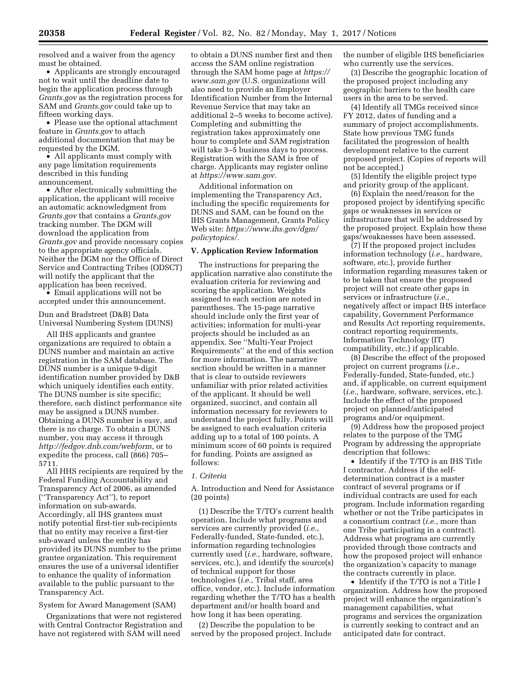resolved and a waiver from the agency must be obtained.

• Applicants are strongly encouraged not to wait until the deadline date to begin the application process through *Grants.gov* as the registration process for SAM and *Grants.gov* could take up to fifteen working days.

• Please use the optional attachment feature in *Grants.gov* to attach additional documentation that may be requested by the DGM.

• All applicants must comply with any page limitation requirements described in this funding announcement.

• After electronically submitting the application, the applicant will receive an automatic acknowledgment from *Grants.gov* that contains a *Grants.gov*  tracking number. The DGM will download the application from *Grants.gov* and provide necessary copies to the appropriate agency officials. Neither the DGM nor the Office of Direct Service and Contracting Tribes (ODSCT) will notify the applicant that the application has been received.

• Email applications will not be accepted under this announcement.

Dun and Bradstreet (D&B) Data Universal Numbering System (DUNS)

All IHS applicants and grantee organizations are required to obtain a DUNS number and maintain an active registration in the SAM database. The DUNS number is a unique 9-digit identification number provided by D&B which uniquely identifies each entity. The DUNS number is site specific; therefore, each distinct performance site may be assigned a DUNS number. Obtaining a DUNS number is easy, and there is no charge. To obtain a DUNS number, you may access it through *[http://fedgov.dnb.com/webform,](http://fedgov.dnb.com/webform)* or to expedite the process, call (866) 705– 5711.

All HHS recipients are required by the Federal Funding Accountability and Transparency Act of 2006, as amended (''Transparency Act''), to report information on sub-awards. Accordingly, all IHS grantees must notify potential first-tier sub-recipients that no entity may receive a first-tier sub-award unless the entity has provided its DUNS number to the prime grantee organization. This requirement ensures the use of a universal identifier to enhance the quality of information available to the public pursuant to the Transparency Act.

System for Award Management (SAM)

Organizations that were not registered with Central Contractor Registration and have not registered with SAM will need

to obtain a DUNS number first and then access the SAM online registration through the SAM home page at *[https://](https://www.sam.gov) [www.sam.gov](https://www.sam.gov)* (U.S. organizations will also need to provide an Employer Identification Number from the Internal Revenue Service that may take an additional 2–5 weeks to become active). Completing and submitting the registration takes approximately one hour to complete and SAM registration will take 3–5 business days to process. Registration with the SAM is free of charge. Applicants may register online at *[https://www.sam.gov.](https://www.sam.gov)* 

Additional information on implementing the Transparency Act, including the specific requirements for DUNS and SAM, can be found on the IHS Grants Management, Grants Policy Web site: *[https://www.ihs.gov/dgm/](https://www.ihs.gov/dgm/policytopics/)  [policytopics/.](https://www.ihs.gov/dgm/policytopics/)* 

# **V. Application Review Information**

The instructions for preparing the application narrative also constitute the evaluation criteria for reviewing and scoring the application. Weights assigned to each section are noted in parentheses. The 15-page narrative should include only the first year of activities; information for multi-year projects should be included as an appendix. See ''Multi-Year Project Requirements'' at the end of this section for more information. The narrative section should be written in a manner that is clear to outside reviewers unfamiliar with prior related activities of the applicant. It should be well organized, succinct, and contain all information necessary for reviewers to understand the project fully. Points will be assigned to each evaluation criteria adding up to a total of 100 points. A minimum score of 60 points is required for funding. Points are assigned as follows:

### *1. Criteria*

A. Introduction and Need for Assistance (20 points)

(1) Describe the T/TO's current health operation. Include what programs and services are currently provided (*i.e.,*  Federally-funded, State-funded, etc.), information regarding technologies currently used (*i.e.,* hardware, software, services, etc.), and identify the source(s) of technical support for those technologies (*i.e.,* Tribal staff, area office, vendor, etc.). Include information regarding whether the T/TO has a health department and/or health board and how long it has been operating.

(2) Describe the population to be served by the proposed project. Include the number of eligible IHS beneficiaries who currently use the services.

(3) Describe the geographic location of the proposed project including any geographic barriers to the health care users in the area to be served.

(4) Identify all TMGs received since FY 2012, dates of funding and a summary of project accomplishments. State how previous TMG funds facilitated the progression of health development relative to the current proposed project. (Copies of reports will not be accepted.)

(5) Identify the eligible project type and priority group of the applicant.

(6) Explain the need/reason for the proposed project by identifying specific gaps or weaknesses in services or infrastructure that will be addressed by the proposed project. Explain how these gaps/weaknesses have been assessed.

(7) If the proposed project includes information technology (*i.e.,* hardware, software, etc.), provide further information regarding measures taken or to be taken that ensure the proposed project will not create other gaps in services or infrastructure (*i.e.,*  negatively affect or impact IHS interface capability, Government Performance and Results Act reporting requirements, contract reporting requirements, Information Technology (IT) compatibility, etc.) if applicable.

(8) Describe the effect of the proposed project on current programs (*i.e.,*  Federally-funded, State-funded, etc.) and, if applicable, on current equipment (*i.e.,* hardware, software, services, etc.). Include the effect of the proposed project on planned/anticipated programs and/or equipment.

(9) Address how the proposed project relates to the purpose of the TMG Program by addressing the appropriate description that follows:

• Identify if the T/TO is an IHS Title I contractor. Address if the selfdetermination contract is a master contract of several programs or if individual contracts are used for each program. Include information regarding whether or not the Tribe participates in a consortium contract (*i.e.,* more than one Tribe participating in a contract). Address what programs are currently provided through those contracts and how the proposed project will enhance the organization's capacity to manage the contracts currently in place.

• Identify if the T/TO is not a Title I organization. Address how the proposed project will enhance the organization's management capabilities, what programs and services the organization is currently seeking to contract and an anticipated date for contract.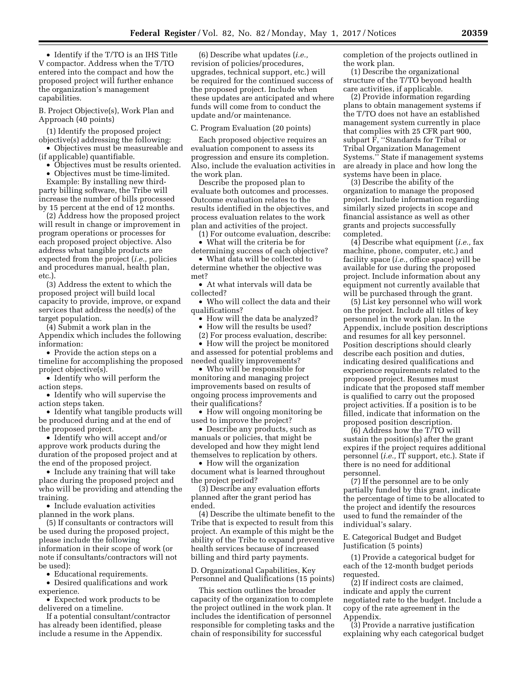• Identify if the T/TO is an IHS Title V compactor. Address when the T/TO entered into the compact and how the proposed project will further enhance the organization's management capabilities.

B. Project Objective(s), Work Plan and Approach (40 points)

(1) Identify the proposed project objective(s) addressing the following:

• Objectives must be measureable and (if applicable) quantifiable.

• Objectives must be results oriented.

• Objectives must be time-limited.

Example: By installing new thirdparty billing software, the Tribe will increase the number of bills processed by 15 percent at the end of 12 months.

(2) Address how the proposed project will result in change or improvement in program operations or processes for each proposed project objective. Also address what tangible products are expected from the project (*i.e.,* policies and procedures manual, health plan, etc.).

(3) Address the extent to which the proposed project will build local capacity to provide, improve, or expand services that address the need(s) of the target population.

(4) Submit a work plan in the Appendix which includes the following information:

• Provide the action steps on a timeline for accomplishing the proposed project objective(s).

• Identify who will perform the action steps.

• Identify who will supervise the action steps taken.

• Identify what tangible products will be produced during and at the end of the proposed project.

• Identify who will accept and/or approve work products during the duration of the proposed project and at the end of the proposed project.

• Include any training that will take place during the proposed project and who will be providing and attending the training.

• Include evaluation activities planned in the work plans.

(5) If consultants or contractors will be used during the proposed project, please include the following information in their scope of work (or note if consultants/contractors will not be used):

• Educational requirements.

• Desired qualifications and work experience.

• Expected work products to be delivered on a timeline.

If a potential consultant/contractor has already been identified, please include a resume in the Appendix.

(6) Describe what updates (*i.e.,*  revision of policies/procedures, upgrades, technical support, etc.) will be required for the continued success of the proposed project. Include when these updates are anticipated and where funds will come from to conduct the update and/or maintenance.

### C. Program Evaluation (20 points)

Each proposed objective requires an evaluation component to assess its progression and ensure its completion. Also, include the evaluation activities in the work plan.

Describe the proposed plan to evaluate both outcomes and processes. Outcome evaluation relates to the results identified in the objectives, and process evaluation relates to the work plan and activities of the project.

(1) For outcome evaluation, describe: • What will the criteria be for

determining success of each objective? • What data will be collected to

determine whether the objective was met?

• At what intervals will data be collected?

• Who will collect the data and their qualifications?

• How will the data be analyzed?

• How will the results be used?

(2) For process evaluation, describe:

• How will the project be monitored and assessed for potential problems and needed quality improvements?

• Who will be responsible for monitoring and managing project improvements based on results of ongoing process improvements and their qualifications?

• How will ongoing monitoring be used to improve the project?

• Describe any products, such as manuals or policies, that might be developed and how they might lend themselves to replication by others.

• How will the organization document what is learned throughout the project period?

(3) Describe any evaluation efforts planned after the grant period has ended.

(4) Describe the ultimate benefit to the Tribe that is expected to result from this project. An example of this might be the ability of the Tribe to expand preventive health services because of increased billing and third party payments.

D. Organizational Capabilities, Key Personnel and Qualifications (15 points)

This section outlines the broader capacity of the organization to complete the project outlined in the work plan. It includes the identification of personnel responsible for completing tasks and the chain of responsibility for successful

completion of the projects outlined in the work plan.

(1) Describe the organizational structure of the T/TO beyond health care activities, if applicable.

(2) Provide information regarding plans to obtain management systems if the T/TO does not have an established management system currently in place that complies with 25 CFR part 900, subpart F, ''Standards for Tribal or Tribal Organization Management Systems.'' State if management systems are already in place and how long the systems have been in place.

(3) Describe the ability of the organization to manage the proposed project. Include information regarding similarly sized projects in scope and financial assistance as well as other grants and projects successfully completed.

(4) Describe what equipment (*i.e.,* fax machine, phone, computer, etc.) and facility space (*i.e.,* office space) will be available for use during the proposed project. Include information about any equipment not currently available that will be purchased through the grant.

(5) List key personnel who will work on the project. Include all titles of key personnel in the work plan. In the Appendix, include position descriptions and resumes for all key personnel. Position descriptions should clearly describe each position and duties, indicating desired qualifications and experience requirements related to the proposed project. Resumes must indicate that the proposed staff member is qualified to carry out the proposed project activities. If a position is to be filled, indicate that information on the proposed position description.

(6) Address how the T/TO will sustain the position(s) after the grant expires if the project requires additional personnel (*i.e.,* IT support, etc.). State if there is no need for additional personnel.

(7) If the personnel are to be only partially funded by this grant, indicate the percentage of time to be allocated to the project and identify the resources used to fund the remainder of the individual's salary.

E. Categorical Budget and Budget Justification (5 points)

(1) Provide a categorical budget for each of the 12-month budget periods requested.

(2) If indirect costs are claimed, indicate and apply the current negotiated rate to the budget. Include a copy of the rate agreement in the Appendix.

(3) Provide a narrative justification explaining why each categorical budget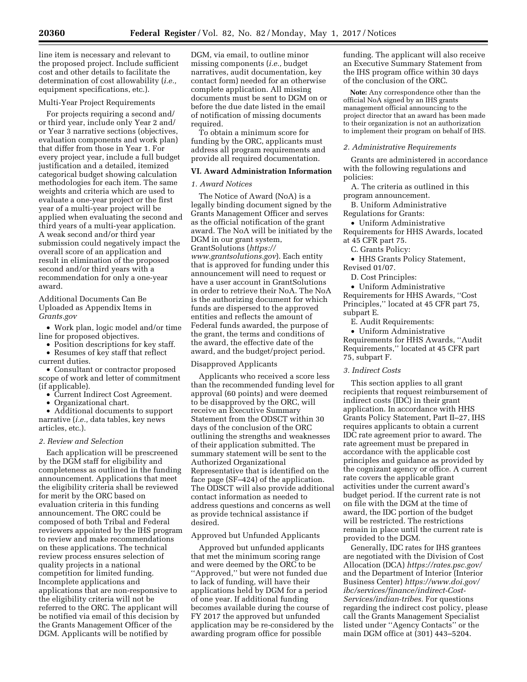line item is necessary and relevant to the proposed project. Include sufficient cost and other details to facilitate the determination of cost allowability (*i.e.,*  equipment specifications, etc.).

### Multi-Year Project Requirements

For projects requiring a second and/ or third year, include only Year 2 and/ or Year 3 narrative sections (objectives, evaluation components and work plan) that differ from those in Year 1. For every project year, include a full budget justification and a detailed, itemized categorical budget showing calculation methodologies for each item. The same weights and criteria which are used to evaluate a one-year project or the first year of a multi-year project will be applied when evaluating the second and third years of a multi-year application. A weak second and/or third year submission could negatively impact the overall score of an application and result in elimination of the proposed second and/or third years with a recommendation for only a one-year award.

Additional Documents Can Be Uploaded as Appendix Items in *Grants.gov* 

- Work plan, logic model and/or time line for proposed objectives.
- Position descriptions for key staff.
- Resumes of key staff that reflect current duties.

• Consultant or contractor proposed scope of work and letter of commitment (if applicable).

- Current Indirect Cost Agreement.
- Organizational chart.

• Additional documents to support narrative (*i.e.,* data tables, key news articles, etc.).

### *2. Review and Selection*

Each application will be prescreened by the DGM staff for eligibility and completeness as outlined in the funding announcement. Applications that meet the eligibility criteria shall be reviewed for merit by the ORC based on evaluation criteria in this funding announcement. The ORC could be composed of both Tribal and Federal reviewers appointed by the IHS program to review and make recommendations on these applications. The technical review process ensures selection of quality projects in a national competition for limited funding. Incomplete applications and applications that are non-responsive to the eligibility criteria will not be referred to the ORC. The applicant will be notified via email of this decision by the Grants Management Officer of the DGM. Applicants will be notified by

DGM, via email, to outline minor missing components (*i.e.,* budget narratives, audit documentation, key contact form) needed for an otherwise complete application. All missing documents must be sent to DGM on or before the due date listed in the email of notification of missing documents required.

To obtain a minimum score for funding by the ORC, applicants must address all program requirements and provide all required documentation.

## **VI. Award Administration Information**

### *1. Award Notices*

The Notice of Award (NoA) is a legally binding document signed by the Grants Management Officer and serves as the official notification of the grant award. The NoA will be initiated by the DGM in our grant system, GrantSolutions (*[https://](https://www.grantsolutions.gov) [www.grantsolutions.gov](https://www.grantsolutions.gov)*). Each entity that is approved for funding under this announcement will need to request or have a user account in GrantSolutions in order to retrieve their NoA. The NoA is the authorizing document for which funds are dispersed to the approved entities and reflects the amount of Federal funds awarded, the purpose of the grant, the terms and conditions of the award, the effective date of the award, and the budget/project period.

#### Disapproved Applicants

Applicants who received a score less than the recommended funding level for approval (60 points) and were deemed to be disapproved by the ORC, will receive an Executive Summary Statement from the ODSCT within 30 days of the conclusion of the ORC outlining the strengths and weaknesses of their application submitted. The summary statement will be sent to the Authorized Organizational Representative that is identified on the face page (SF–424) of the application. The ODSCT will also provide additional contact information as needed to address questions and concerns as well as provide technical assistance if desired.

## Approved but Unfunded Applicants

Approved but unfunded applicants that met the minimum scoring range and were deemed by the ORC to be ''Approved,'' but were not funded due to lack of funding, will have their applications held by DGM for a period of one year. If additional funding becomes available during the course of FY 2017 the approved but unfunded application may be re-considered by the awarding program office for possible

funding. The applicant will also receive an Executive Summary Statement from the IHS program office within 30 days of the conclusion of the ORC.

**Note:** Any correspondence other than the official NoA signed by an IHS grants management official announcing to the project director that an award has been made to their organization is not an authorization to implement their program on behalf of IHS.

#### *2. Administrative Requirements*

Grants are administered in accordance with the following regulations and policies:

A. The criteria as outlined in this program announcement.

B. Uniform Administrative Regulations for Grants:

• Uniform Administrative

Requirements for HHS Awards, located at 45 CFR part 75.

- C. Grants Policy:
- HHS Grants Policy Statement, Revised 01/07.
- D. Cost Principles:

• Uniform Administrative Requirements for HHS Awards, ''Cost Principles,'' located at 45 CFR part 75, subpart E.

E. Audit Requirements:

• Uniform Administrative Requirements for HHS Awards, ''Audit Requirements,'' located at 45 CFR part 75, subpart F.

## *3. Indirect Costs*

This section applies to all grant recipients that request reimbursement of indirect costs (IDC) in their grant application. In accordance with HHS Grants Policy Statement, Part II–27, IHS requires applicants to obtain a current IDC rate agreement prior to award. The rate agreement must be prepared in accordance with the applicable cost principles and guidance as provided by the cognizant agency or office. A current rate covers the applicable grant activities under the current award's budget period. If the current rate is not on file with the DGM at the time of award, the IDC portion of the budget will be restricted. The restrictions remain in place until the current rate is provided to the DGM.

Generally, IDC rates for IHS grantees are negotiated with the Division of Cost Allocation (DCA) *<https://rates.psc.gov/>*  and the Department of Interior (Interior Business Center) *[https://www.doi.gov/](https://www.doi.gov/ibc/services/finance/indirect-Cost-Services/indian-tribes) [ibc/services/finance/indirect-Cost-](https://www.doi.gov/ibc/services/finance/indirect-Cost-Services/indian-tribes)[Services/indian-tribes.](https://www.doi.gov/ibc/services/finance/indirect-Cost-Services/indian-tribes)* For questions regarding the indirect cost policy, please call the Grants Management Specialist listed under ''Agency Contacts'' or the main DGM office at (301) 443–5204.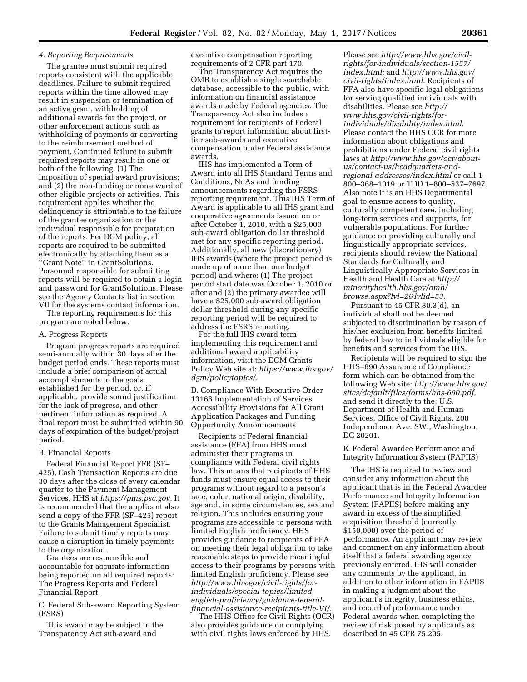# *4. Reporting Requirements*

The grantee must submit required reports consistent with the applicable deadlines. Failure to submit required reports within the time allowed may result in suspension or termination of an active grant, withholding of additional awards for the project, or other enforcement actions such as withholding of payments or converting to the reimbursement method of payment. Continued failure to submit required reports may result in one or both of the following: (1) The imposition of special award provisions; and (2) the non-funding or non-award of other eligible projects or activities. This requirement applies whether the delinquency is attributable to the failure of the grantee organization or the individual responsible for preparation of the reports. Per DGM policy, all reports are required to be submitted electronically by attaching them as a ''Grant Note'' in GrantSolutions. Personnel responsible for submitting reports will be required to obtain a login and password for GrantSolutions. Please see the Agency Contacts list in section VII for the systems contact information.

The reporting requirements for this program are noted below.

## A. Progress Reports

Program progress reports are required semi-annually within 30 days after the budget period ends. These reports must include a brief comparison of actual accomplishments to the goals established for the period, or, if applicable, provide sound justification for the lack of progress, and other pertinent information as required. A final report must be submitted within 90 days of expiration of the budget/project period.

# B. Financial Reports

Federal Financial Report FFR (SF– 425), Cash Transaction Reports are due 30 days after the close of every calendar quarter to the Payment Management Services, HHS at *[https://pms.psc.gov.](https://pms.psc.gov)* It is recommended that the applicant also send a copy of the FFR (SF–425) report to the Grants Management Specialist. Failure to submit timely reports may cause a disruption in timely payments to the organization.

Grantees are responsible and accountable for accurate information being reported on all required reports: The Progress Reports and Federal Financial Report.

C. Federal Sub-award Reporting System (FSRS)

This award may be subject to the Transparency Act sub-award and

executive compensation reporting requirements of 2 CFR part 170.

The Transparency Act requires the OMB to establish a single searchable database, accessible to the public, with information on financial assistance awards made by Federal agencies. The Transparency Act also includes a requirement for recipients of Federal grants to report information about firsttier sub-awards and executive compensation under Federal assistance awards.

IHS has implemented a Term of Award into all IHS Standard Terms and Conditions, NoAs and funding announcements regarding the FSRS reporting requirement. This IHS Term of Award is applicable to all IHS grant and cooperative agreements issued on or after October 1, 2010, with a \$25,000 sub-award obligation dollar threshold met for any specific reporting period. Additionally, all new (discretionary) IHS awards (where the project period is made up of more than one budget period) and where: (1) The project period start date was October 1, 2010 or after and (2) the primary awardee will have a \$25,000 sub-award obligation dollar threshold during any specific reporting period will be required to address the FSRS reporting.

For the full IHS award term implementing this requirement and additional award applicability information, visit the DGM Grants Policy Web site at: *[https://www.ihs.gov/](https://www.ihs.gov/dgm/policytopics/)  [dgm/policytopics/.](https://www.ihs.gov/dgm/policytopics/)* 

D. Compliance With Executive Order 13166 Implementation of Services Accessibility Provisions for All Grant Application Packages and Funding Opportunity Announcements

Recipients of Federal financial assistance (FFA) from HHS must administer their programs in compliance with Federal civil rights law. This means that recipients of HHS funds must ensure equal access to their programs without regard to a person's race, color, national origin, disability, age and, in some circumstances, sex and religion. This includes ensuring your programs are accessible to persons with limited English proficiency. HHS provides guidance to recipients of FFA on meeting their legal obligation to take reasonable steps to provide meaningful access to their programs by persons with limited English proficiency. Please see *http://www.hhs.gov/civil-rights/forindividuals/special-topics/limitedenglish-proficiency/guidance-federal[financial-assistance-recipients-title-VI/.](http://www.hhs.gov/civil-rights/for-individuals/special-topics/limited-english-proficiency/guidance-federal-financial-assistance-recipients-title-VI/)* 

The HHS Office for Civil Rights (OCR) also provides guidance on complying with civil rights laws enforced by HHS.

Please see *[http://www.hhs.gov/civil](http://www.hhs.gov/civil-rights/for-individuals/section-1557/index.html)[rights/for-individuals/section-1557/](http://www.hhs.gov/civil-rights/for-individuals/section-1557/index.html)  [index.html;](http://www.hhs.gov/civil-rights/for-individuals/section-1557/index.html)* and *[http://www.hhs.gov/](http://www.hhs.gov/civil-rights/index.html)  [civil-rights/index.html.](http://www.hhs.gov/civil-rights/index.html)* Recipients of FFA also have specific legal obligations for serving qualified individuals with disabilities. Please see *[http://](http://www.hhs.gov/civil-rights/for-individuals/disability/index.html) [www.hhs.gov/civil-rights/for](http://www.hhs.gov/civil-rights/for-individuals/disability/index.html)[individuals/disability/index.html.](http://www.hhs.gov/civil-rights/for-individuals/disability/index.html)*  Please contact the HHS OCR for more information about obligations and prohibitions under Federal civil rights laws at *[http://www.hhs.gov/ocr/about](http://www.hhs.gov/ocr/about-us/contact-us/headquarters-and-regional-addresses/index.html)[us/contact-us/headquarters-and](http://www.hhs.gov/ocr/about-us/contact-us/headquarters-and-regional-addresses/index.html)[regional-addresses/index.html](http://www.hhs.gov/ocr/about-us/contact-us/headquarters-and-regional-addresses/index.html)* or call 1– 800–368–1019 or TDD 1–800–537–7697. Also note it is an HHS Departmental goal to ensure access to quality, culturally competent care, including long-term services and supports, for vulnerable populations. For further guidance on providing culturally and linguistically appropriate services, recipients should review the National Standards for Culturally and Linguistically Appropriate Services in Health and Health Care at *[http://](http://minorityhealth.hhs.gov/omh/browse.aspx?lvl=2&lvlid=53) [minorityhealth.hhs.gov/omh/](http://minorityhealth.hhs.gov/omh/browse.aspx?lvl=2&lvlid=53) [browse.aspx?lvl=2&lvlid=53.](http://minorityhealth.hhs.gov/omh/browse.aspx?lvl=2&lvlid=53)* 

Pursuant to 45 CFR 80.3(d), an individual shall not be deemed subjected to discrimination by reason of his/her exclusion from benefits limited by federal law to individuals eligible for benefits and services from the IHS.

Recipients will be required to sign the HHS–690 Assurance of Compliance form which can be obtained from the following Web site: *[http://www.hhs.gov/](http://www.hhs.gov/sites/default/files/forms/hhs-690.pdf) [sites/default/files/forms/hhs-690.pdf,](http://www.hhs.gov/sites/default/files/forms/hhs-690.pdf)*  and send it directly to the: U.S. Department of Health and Human Services, Office of Civil Rights, 200 Independence Ave. SW., Washington, DC 20201.

E. Federal Awardee Performance and Integrity Information System (FAPIIS)

The IHS is required to review and consider any information about the applicant that is in the Federal Awardee Performance and Integrity Information System (FAPIIS) before making any award in excess of the simplified acquisition threshold (currently \$150,000) over the period of performance. An applicant may review and comment on any information about itself that a federal awarding agency previously entered. IHS will consider any comments by the applicant, in addition to other information in FAPIIS in making a judgment about the applicant's integrity, business ethics, and record of performance under Federal awards when completing the review of risk posed by applicants as described in 45 CFR 75.205.